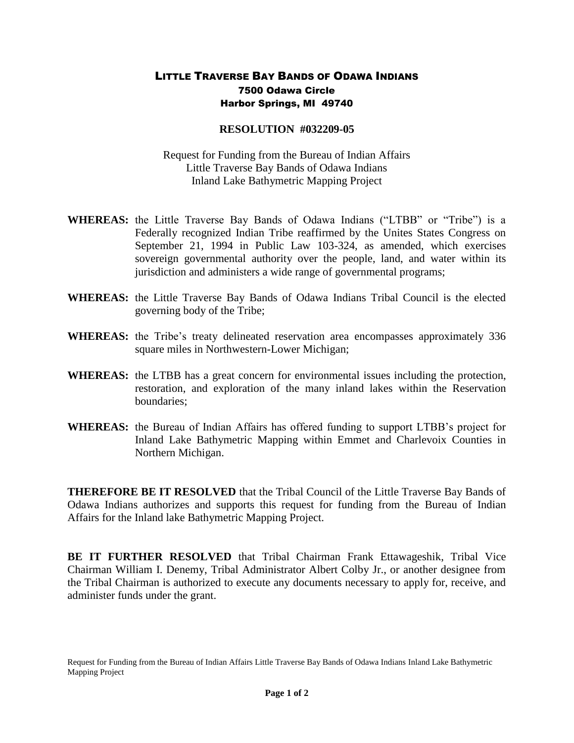## LITTLE TRAVERSE BAY BANDS OF ODAWA INDIANS 7500 Odawa Circle Harbor Springs, MI 49740

## **RESOLUTION #032209-05**

Request for Funding from the Bureau of Indian Affairs Little Traverse Bay Bands of Odawa Indians Inland Lake Bathymetric Mapping Project

- **WHEREAS:** the Little Traverse Bay Bands of Odawa Indians ("LTBB" or "Tribe") is a Federally recognized Indian Tribe reaffirmed by the Unites States Congress on September 21, 1994 in Public Law 103-324, as amended, which exercises sovereign governmental authority over the people, land, and water within its jurisdiction and administers a wide range of governmental programs;
- **WHEREAS:** the Little Traverse Bay Bands of Odawa Indians Tribal Council is the elected governing body of the Tribe;
- **WHEREAS:** the Tribe's treaty delineated reservation area encompasses approximately 336 square miles in Northwestern-Lower Michigan;
- **WHEREAS:** the LTBB has a great concern for environmental issues including the protection, restoration, and exploration of the many inland lakes within the Reservation boundaries;
- **WHEREAS:** the Bureau of Indian Affairs has offered funding to support LTBB's project for Inland Lake Bathymetric Mapping within Emmet and Charlevoix Counties in Northern Michigan.

**THEREFORE BE IT RESOLVED** that the Tribal Council of the Little Traverse Bay Bands of Odawa Indians authorizes and supports this request for funding from the Bureau of Indian Affairs for the Inland lake Bathymetric Mapping Project.

**BE IT FURTHER RESOLVED** that Tribal Chairman Frank Ettawageshik, Tribal Vice Chairman William I. Denemy, Tribal Administrator Albert Colby Jr., or another designee from the Tribal Chairman is authorized to execute any documents necessary to apply for, receive, and administer funds under the grant.

Request for Funding from the Bureau of Indian Affairs Little Traverse Bay Bands of Odawa Indians Inland Lake Bathymetric Mapping Project